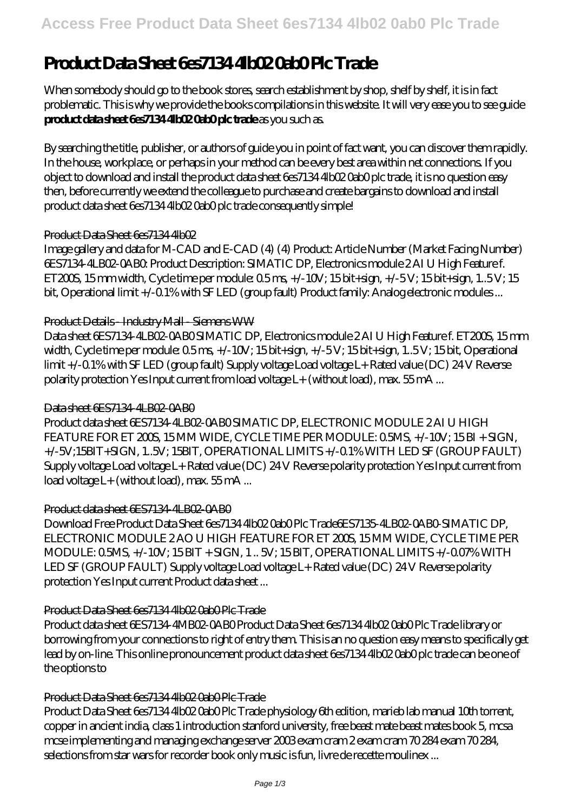# **Product Data Sheet 6es7134 4lb02 0ab0 Plc Trade**

When somebody should go to the book stores, search establishment by shop, shelf by shelf, it is in fact problematic. This is why we provide the books compilations in this website. It will very ease you to see guide **product data sheet 6es7134 4lb02 0ab0 plc trade** as you such as.

By searching the title, publisher, or authors of guide you in point of fact want, you can discover them rapidly. In the house, workplace, or perhaps in your method can be every best area within net connections. If you object to download and install the product data sheet 6es7134 4lb02 0ab0 plc trade, it is no question easy then, before currently we extend the colleague to purchase and create bargains to download and install product data sheet 6es7134 4lb02 0ab0 plc trade consequently simple!

## Product Data Sheet 6es71344lb02

Image gallery and data for M-CAD and E-CAD (4) (4) Product: Article Number (Market Facing Number) 6ES7134-4LB02-0AB0: Product Description: SIMATIC DP, Electronics module 2 AI U High Feature f. ET200S, 15 mm width, Cycle time per module:  $0.5 \text{ ms}$  +/-10V; 15 bit+sign, +/-5V; 15 bit+sign, 1..5V; 15 bit, Operational limit +/-0.1% with SF LED (group fault) Product family: Analog electronic modules...

## Product Details - Industry Mall - Siemens WW

Data sheet 6ES7134-4LB02-0AB0 SIMATIC DP, Electronics module 2 AI U High Feature f. ET200S, 15 mm width, Cycle time per module:  $0.5 \text{ ms}$  +/-10V; 15 bit+sign, +/-5V; 15 bit+sign, 1..5V; 15 bit, Operational limit +/-0.1% with SF LED (group fault) Supply voltage Load voltage L+ Rated value (DC) 24 V Reverse polarity protection Yes Input current from load voltage L+ (without load), max. 55 mA ...

## Data sheet 6ES7134-4LBO2-0ABO

Product data sheet 6ES7134-4LB02-0AB0 SIMATIC DP, ELECTRONIC MODULE 2 AI U HIGH FEATURE FOR ET 200S, 15 MM WIDE, CYCLE TIME PER MODULE: 0.5MS, +/-10V; 15 BI + SIGN, +/-5V;15BIT+SIGN, 1..5V; 15BIT, OPERATIONAL LIMITS +/-0.1% WITH LED SF (GROUP FAULT) Supply voltage Load voltage L+ Rated value (DC) 24 V Reverse polarity protection Yes Input current from load voltage L+ (without load), max. 55 mA ...

## Product data sheet 6ES7134-4LB02-0AB0

Download Free Product Data Sheet 6es7134 4lb02 0ab0 Plc Trade6ES7135-4LB02-0AB0-SIMATIC DP, ELECTRONIC MODULE 2AO U HIGH FEATURE FOR ET 200S, 15MM WIDE, CYCLE TIME PER MODULE: 0.5MS, +/-10V; 15 BIT + SIGN, 1 .. 5V; 15 BIT, OPERATIONAL LIMITS +/-0.07% WITH LED SF (GROUP FAULT) Supply voltage Load voltage L+ Rated value (DC) 24 V Reverse polarity protection Yes Input current Product data sheet ...

## Product Data Sheet 6es7134 4lb02 0ab0 Plc Trade

Product data sheet 6ES7134-4MB02-0AB0 Product Data Sheet 6es7134 4lb02 0ab0 Plc Trade library or borrowing from your connections to right of entry them. This is an no question easy means to specifically get lead by on-line. This online pronouncement product data sheet 6es7134 4lb02 0ab0 plc trade can be one of the options to

## Product Data Sheet 6es7134 4lb02 Oab0 Plc Trade

Product Data Sheet 6es7134 4lb02 0ab0 Plc Trade physiology 6th edition, marieb lab manual 10th torrent, copper in ancient india, class 1 introduction stanford university, free beast mate beast mates book 5, mcsa mcse implementing and managing exchange server 2003 exam cram 2 exam cram 70 284 exam 70 284, selections from star wars for recorder book only music is fun, livre de recette moulinex ...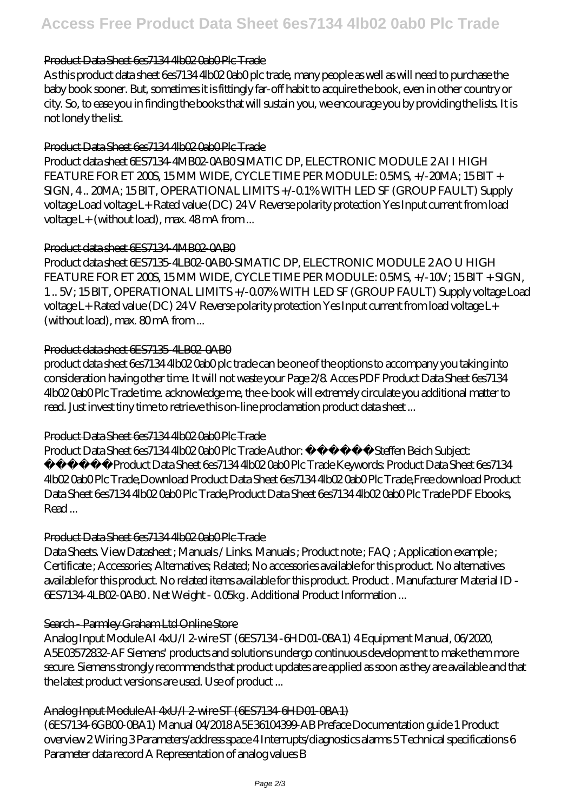## Product Data Sheet 6es7134 4lb02 Oab0 Plc Trade

As this product data sheet 6es7134 4lb02 0ab0 plc trade, many people as well as will need to purchase the baby book sooner. But, sometimes it is fittingly far-off habit to acquire the book, even in other country or city. So, to ease you in finding the books that will sustain you, we encourage you by providing the lists. It is not lonely the list.

## Product Data Sheet 6es7134 4lb02 0ab0 Plc Trade

Product data sheet 6ES7134-4MB02-0AB0 SIMATIC DP, ELECTRONIC MODULE 2 AI I HIGH FEATURE FOR ET 200S, 15 MM WIDE, CYCLE TIME PER MODULE: 0.5MS, +/-20MA; 15 BIT + SIGN, 4 .. 20MA; 15 BIT, OPERATIONAL LIMITS +/-0.1% WITH LED SF (GROUP FAULT) Supply voltage Load voltage L+ Rated value (DC) 24 V Reverse polarity protection Yes Input current from load voltage L+ (without load), max. 48 mA from ...

#### Product data sheet 6ES7134-4MB02-0AB0

Product data sheet 6ES7135-4LB02-0AB0-SIMATIC DP, ELECTRONIC MODULE 2 AO U HIGH FEATURE FOR ET 200S, 15 MM WIDE, CYCLE TIME PER MODULE: 0.5MS, +/-10V; 15 BIT + SIGN, 1 .. 5V; 15 BIT, OPERATIONAL LIMITS +/-0.07% WITH LED SF (GROUP FAULT) Supply voltage Load voltage L+ Rated value (DC) 24 V Reverse polarity protection Yes Input current from load voltage L+ (without load), max. 80mA from...

#### Product data sheet GES7135-4LBO2-0AB0

product data sheet 6es7134 4lb02 0ab0 plc trade can be one of the options to accompany you taking into consideration having other time. It will not waste your Page 2/8. Acces PDF Product Data Sheet 6es7134 4lb02 0ab0 Plc Trade time. acknowledge me, the e-book will extremely circulate you additional matter to read. Just invest tiny time to retrieve this on-line proclamation product data sheet ...

## Product Data Sheet 6es7134 4lb02 0ab0 Plc Trade

Product Data Sheet 6es7134 4lb02 0ab0 Plc Trade Author: i i  $\frac{1}{6}$  1/2 i  $\frac{1}{2}$  1/2 Steffen Beich Subject: i i<sup>1</sup>/2i i<sup>1</sup>/2Product Data Sheet 6es7134 4lb02 0ab0 Plc Trade Keywords: Product Data Sheet 6es7134 4lb02 0ab0 Plc Trade,Download Product Data Sheet 6es7134 4lb02 0ab0 Plc Trade,Free download Product Data Sheet 6es7134 4lb02 0ab0 Plc Trade,Product Data Sheet 6es7134 4lb02 0ab0 Plc Trade PDF Ebooks, Read ...

#### Product Data Sheet 6es7134 4lb02 0ab0 Plc Trade

Data Sheets. View Datasheet ; Manuals / Links. Manuals ; Product note ; FAQ ; Application example ; Certificate ; Accessories; Alternatives; Related; No accessories available for this product. No alternatives available for this product. No related items available for this product. Product . Manufacturer Material ID - 6ES7134-4LB02-0AB0 . Net Weight - 0.05kg . Additional Product Information ...

## Search - Parmley Graham Ltd Online Store

Analog Input Module AI 4xU/I 2-wire ST (6ES7134 -6HD01-0BA1) 4 Equipment Manual, 06/2020, A5E03572832-AF Siemens' products and solutions undergo continuous development to make them more secure. Siemens strongly recommends that product updates are applied as soon as they are available and that the latest product versions are used. Use of product ...

## Analog Input Module AI 4xU A 2-wire ST (GES7134-GHD01-CBA1)

(6ES7134-6GB00-0BA1) Manual 04/2018 A5E36104399-AB Preface Documentation guide 1 Product overview 2 Wiring 3 Parameters/address space 4 Interrupts/diagnostics alarms 5 Technical specifications 6 Parameter data record A Representation of analog values B